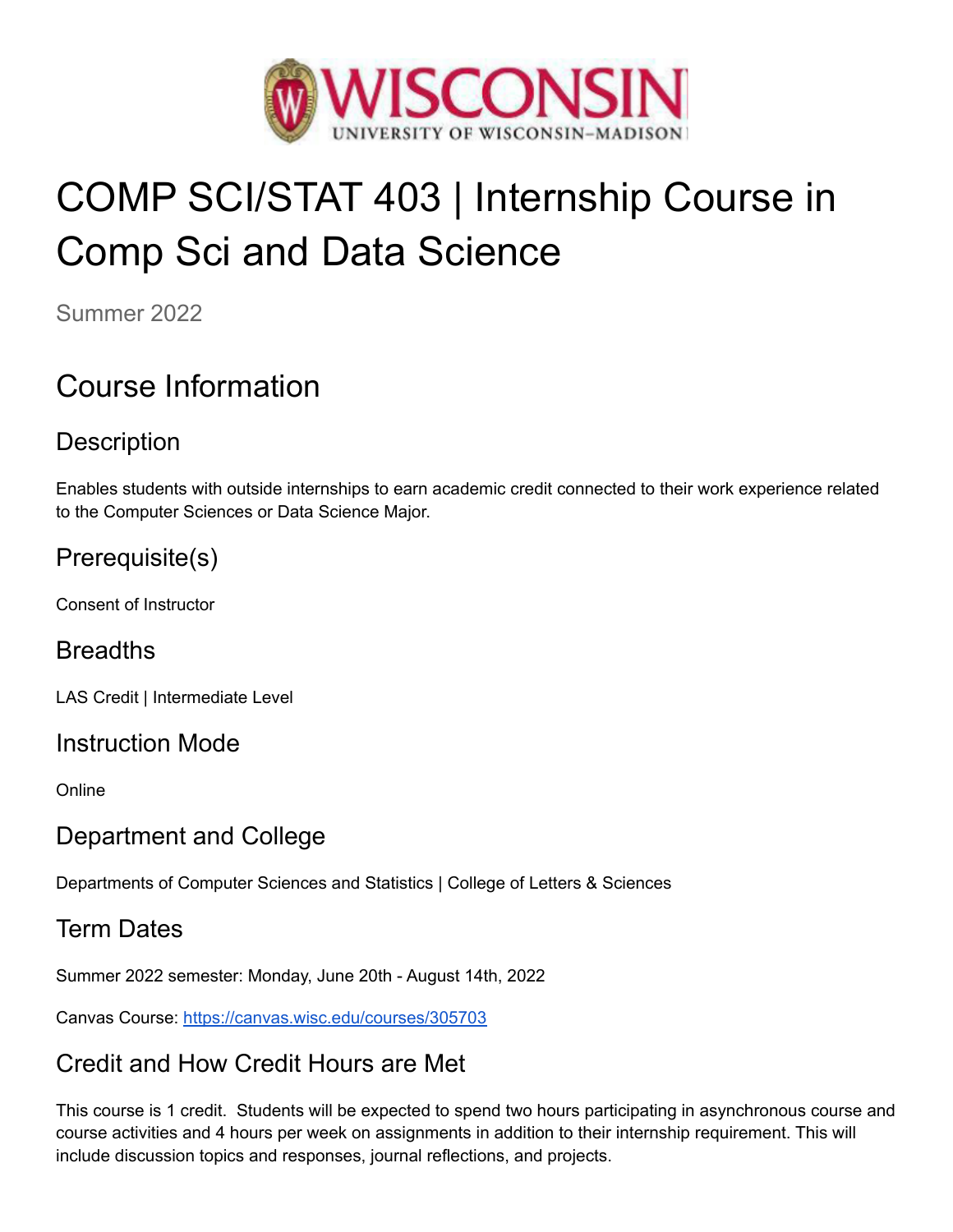

# COMP SCI/STAT 403 | Internship Course in Comp Sci and Data Science

Summer 2022

## Course Information

## **Description**

Enables students with outside internships to earn academic credit connected to their work experience related to the Computer Sciences or Data Science Major.

## Prerequisite(s)

Consent of Instructor

## Breadths

LAS Credit | Intermediate Level

#### Instruction Mode

Online

## Department and College

Departments of Computer Sciences and Statistics | College of Letters & Sciences

## Term Dates

Summer 2022 semester: Monday, June 20th - August 14th, 2022

Canvas Course: [h](https://canvas.wisc.edu/courses/295661)ttps://canvas.wisc.edu/courses/305703

## Credit and How Credit Hours are Met

This course is 1 credit. Students will be expected to spend two hours participating in asynchronous course and course activities and 4 hours per week on assignments in addition to their internship requirement. This will include discussion topics and responses, journal reflections, and projects.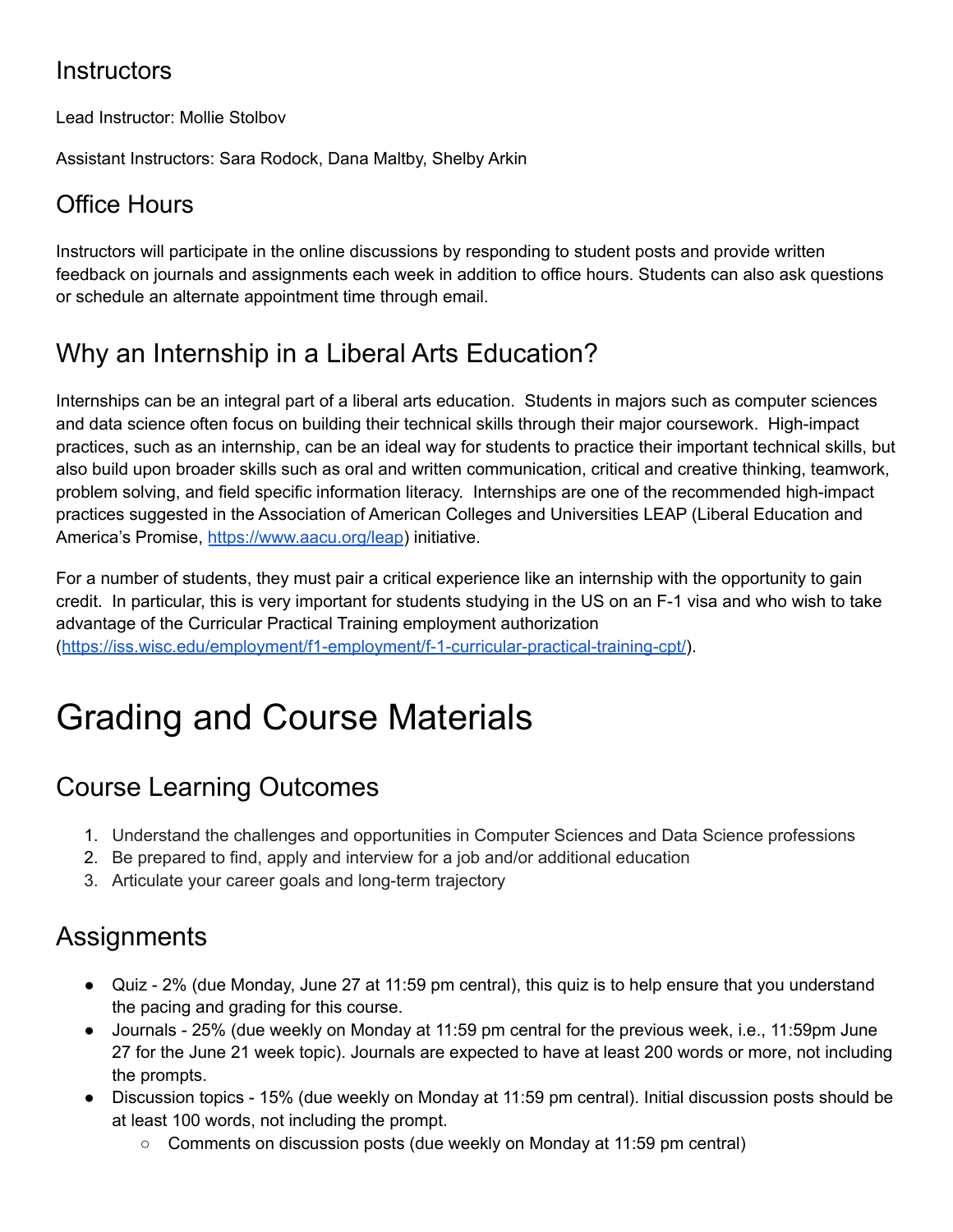#### **Instructors**

Lead Instructor: Mollie Stolbov

Assistant Instructors: Sara Rodock, Dana Maltby, Shelby Arkin

#### Office Hours

Instructors will participate in the online discussions by responding to student posts and provide written feedback on journals and assignments each week in addition to office hours. Students can also ask questions or schedule an alternate appointment time through email.

## Why an Internship in a Liberal Arts Education?

Internships can be an integral part of a liberal arts education. Students in majors such as computer sciences and data science often focus on building their technical skills through their major coursework. High-impact practices, such as an internship, can be an ideal way for students to practice their important technical skills, but also build upon broader skills such as oral and written communication, critical and creative thinking, teamwork, problem solving, and field specific information literacy. Internships are one of the recommended high-impact practices suggested in the Association of American Colleges and Universities LEAP (Liberal Education and America's Promise, <https://www.aacu.org/leap>) initiative.

For a number of students, they must pair a critical experience like an internship with the opportunity to gain credit. In particular, this is very important for students studying in the US on an F-1 visa and who wish to take advantage of the Curricular Practical Training employment authorization (<https://iss.wisc.edu/employment/f1-employment/f-1-curricular-practical-training-cpt/>).

## Grading and Course Materials

## Course Learning Outcomes

- 1. Understand the challenges and opportunities in Computer Sciences and Data Science professions
- 2. Be prepared to find, apply and interview for a job and/or additional education
- 3. Articulate your career goals and long-term trajectory

## Assignments

- Quiz 2% (due Monday, June 27 at 11:59 pm central), this quiz is to help ensure that you understand the pacing and grading for this course.
- Journals 25% (due weekly on Monday at 11:59 pm central for the previous week, i.e., 11:59pm June 27 for the June 21 week topic). Journals are expected to have at least 200 words or more, not including the prompts.
- Discussion topics 15% (due weekly on Monday at 11:59 pm central). Initial discussion posts should be at least 100 words, not including the prompt.
	- Comments on discussion posts (due weekly on Monday at 11:59 pm central)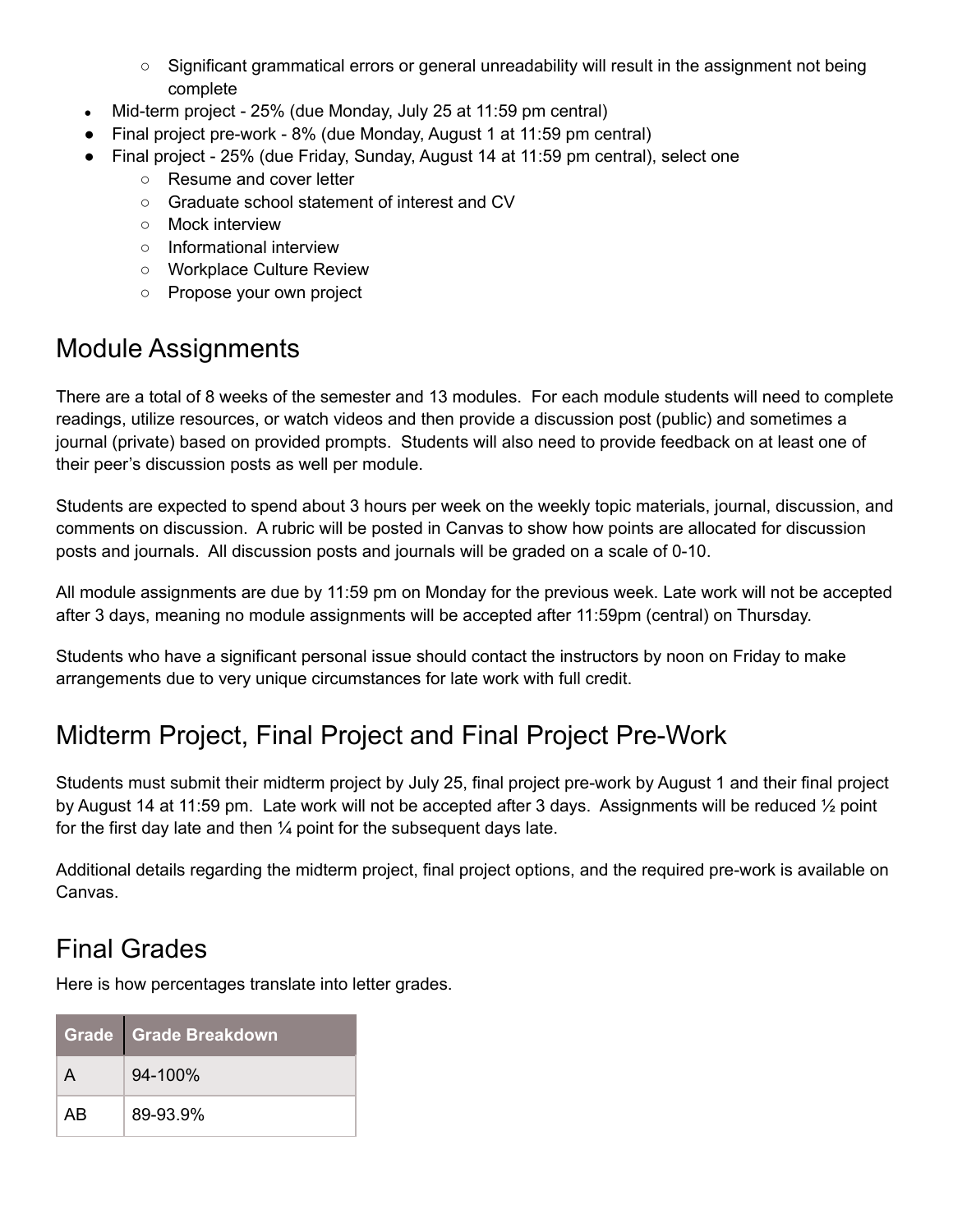- Significant grammatical errors or general unreadability will result in the assignment not being complete
- Mid-term project 25% (due Monday, July 25 at 11:59 pm central)
- Final project pre-work 8% (due Monday, August 1 at 11:59 pm central)
- Final project 25% (due Friday, Sunday, August 14 at 11:59 pm central), select one
	- Resume and cover letter
	- Graduate school statement of interest and CV
	- Mock interview
	- Informational interview
	- Workplace Culture Review
	- Propose your own project

#### Module Assignments

There are a total of 8 weeks of the semester and 13 modules. For each module students will need to complete readings, utilize resources, or watch videos and then provide a discussion post (public) and sometimes a journal (private) based on provided prompts. Students will also need to provide feedback on at least one of their peer's discussion posts as well per module.

Students are expected to spend about 3 hours per week on the weekly topic materials, journal, discussion, and comments on discussion. A rubric will be posted in Canvas to show how points are allocated for discussion posts and journals. All discussion posts and journals will be graded on a scale of 0-10.

All module assignments are due by 11:59 pm on Monday for the previous week. Late work will not be accepted after 3 days, meaning no module assignments will be accepted after 11:59pm (central) on Thursday.

Students who have a significant personal issue should contact the instructors by noon on Friday to make arrangements due to very unique circumstances for late work with full credit.

## Midterm Project, Final Project and Final Project Pre-Work

Students must submit their midterm project by July 25, final project pre-work by August 1 and their final project by August 14 at 11:59 pm. Late work will not be accepted after 3 days. Assignments will be reduced ½ point for the first day late and then  $\frac{1}{4}$  point for the subsequent days late.

Additional details regarding the midterm project, final project options, and the required pre-work is available on Canvas.

## Final Grades

Here is how percentages translate into letter grades.

|    | Grade Grade Breakdown |
|----|-----------------------|
|    | $94 - 100\%$          |
| AR | 89-93.9%              |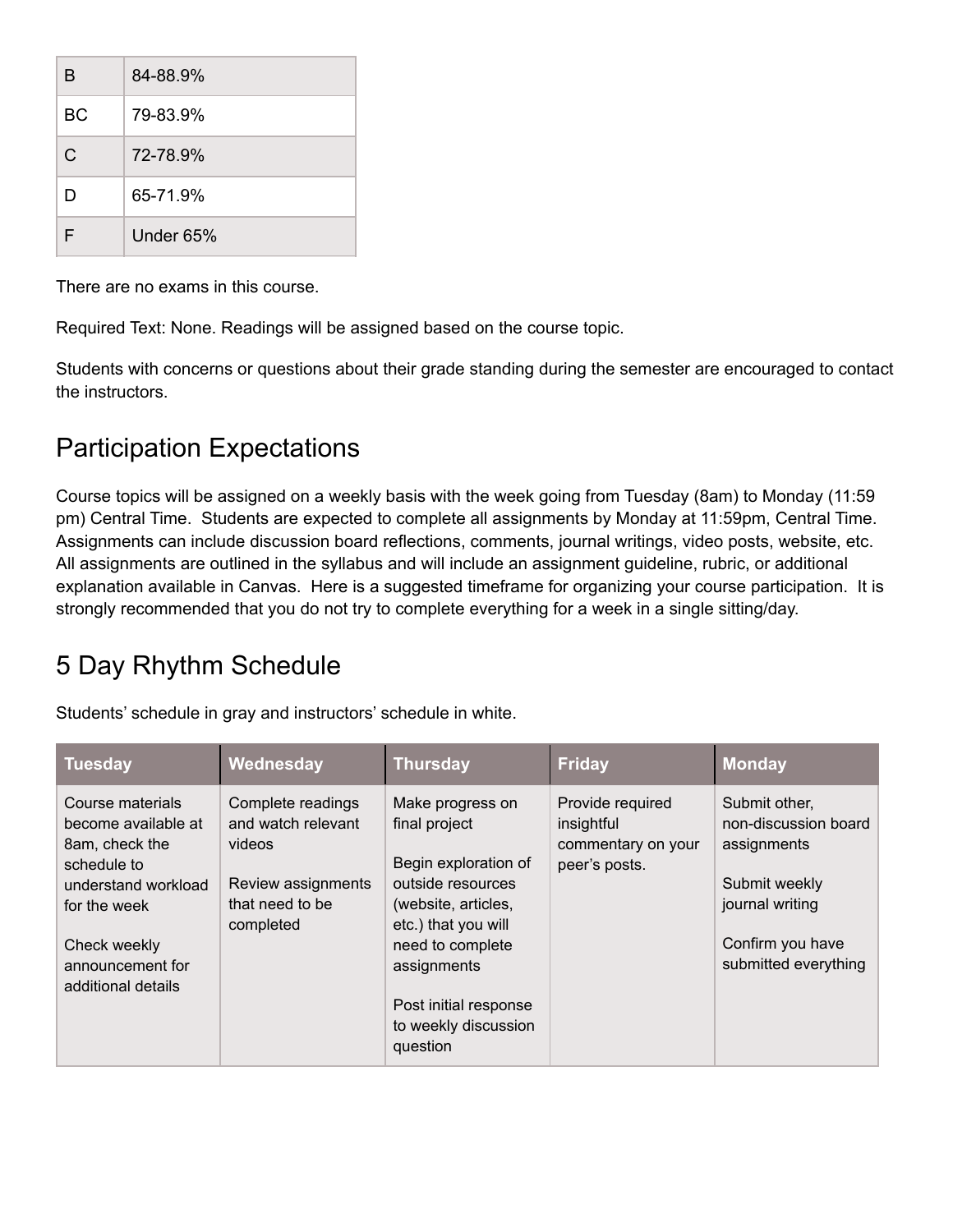| B         | 84-88.9%  |
|-----------|-----------|
| <b>BC</b> | 79-83.9%  |
| C         | 72-78.9%  |
| D         | 65-71.9%  |
| ᄃ         | Under 65% |

There are no exams in this course.

Required Text: None. Readings will be assigned based on the course topic.

Students with concerns or questions about their grade standing during the semester are encouraged to contact the instructors.

## Participation Expectations

Course topics will be assigned on a weekly basis with the week going from Tuesday (8am) to Monday (11:59 pm) Central Time. Students are expected to complete all assignments by Monday at 11:59pm, Central Time. Assignments can include discussion board reflections, comments, journal writings, video posts, website, etc. All assignments are outlined in the syllabus and will include an assignment guideline, rubric, or additional explanation available in Canvas. Here is a suggested timeframe for organizing your course participation. It is strongly recommended that you do not try to complete everything for a week in a single sitting/day.

## 5 Day Rhythm Schedule

Students' schedule in gray and instructors' schedule in white.

| Course materials<br>Complete readings<br>Make progress on<br>Provide required<br>Submit other,                                                                                                                                                                                                                                                                                                                                                                                                                                                                  | <b>Monday</b>                                                    |
|-----------------------------------------------------------------------------------------------------------------------------------------------------------------------------------------------------------------------------------------------------------------------------------------------------------------------------------------------------------------------------------------------------------------------------------------------------------------------------------------------------------------------------------------------------------------|------------------------------------------------------------------|
| and watch relevant<br>become available at<br>final project<br>insightful<br>assignments<br>8am, check the<br>videos<br>commentary on your<br>Begin exploration of<br>peer's posts.<br>schedule to<br>outside resources<br>Review assignments<br>Submit weekly<br>understand workload<br>that need to be<br>journal writing<br>(website, articles,<br>for the week<br>etc.) that you will<br>completed<br>need to complete<br>Check weekly<br>announcement for<br>assignments<br>additional details<br>Post initial response<br>to weekly discussion<br>question | non-discussion board<br>Confirm you have<br>submitted everything |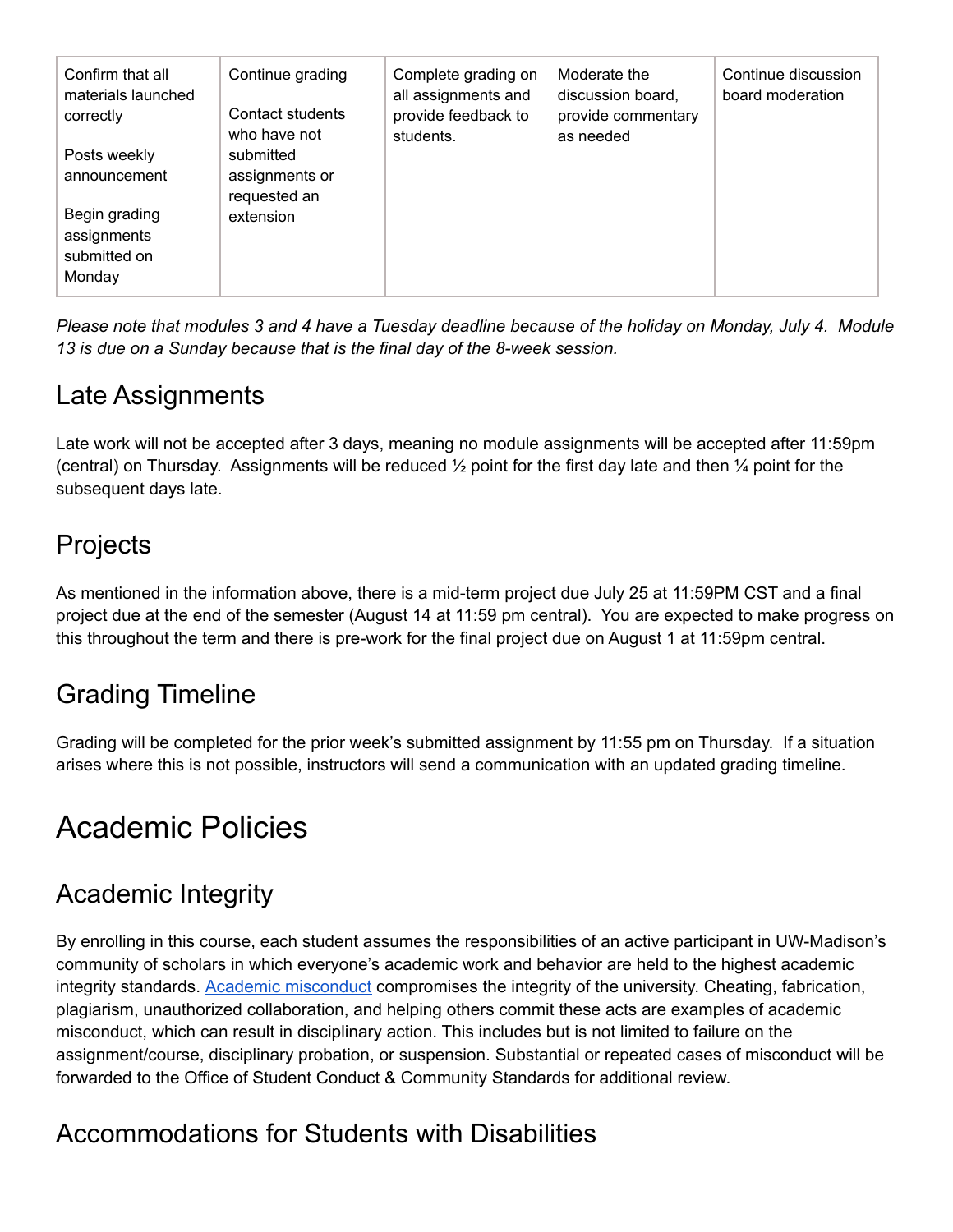| Confirm that all<br>materials launched<br>correctly | Continue grading<br>Contact students<br>who have not     | Complete grading on<br>all assignments and<br>provide feedback to<br>students. | Moderate the<br>discussion board,<br>provide commentary<br>as needed | Continue discussion<br>board moderation |
|-----------------------------------------------------|----------------------------------------------------------|--------------------------------------------------------------------------------|----------------------------------------------------------------------|-----------------------------------------|
| Posts weekly<br>announcement<br>Begin grading       | submitted<br>assignments or<br>requested an<br>extension |                                                                                |                                                                      |                                         |
| assignments<br>submitted on<br>Monday               |                                                          |                                                                                |                                                                      |                                         |

Please note that modules 3 and 4 have a Tuesday deadline because of the holiday on Monday, July 4. Module *13 is due on a Sunday because that is the final day of the 8-week session.*

## Late Assignments

Late work will not be accepted after 3 days, meaning no module assignments will be accepted after 11:59pm (central) on Thursday. Assignments will be reduced  $\frac{1}{2}$  point for the first day late and then  $\frac{1}{4}$  point for the subsequent days late.

## **Projects**

As mentioned in the information above, there is a mid-term project due July 25 at 11:59PM CST and a final project due at the end of the semester (August 14 at 11:59 pm central). You are expected to make progress on this throughout the term and there is pre-work for the final project due on August 1 at 11:59pm central.

## Grading Timeline

Grading will be completed for the prior week's submitted assignment by 11:55 pm on Thursday. If a situation arises where this is not possible, instructors will send a communication with an updated grading timeline.

## Academic Policies

## Academic Integrity

By enrolling in this course, each student assumes the responsibilities of an active participant in UW-Madison's community of scholars in which everyone's academic work and behavior are held to the highest academic integrity standards. Academic [misconduct](https://conduct.students.wisc.edu/academic-misconduct/) compromises the integrity of the university. Cheating, fabrication, plagiarism, unauthorized collaboration, and helping others commit these acts are examples of academic misconduct, which can result in disciplinary action. This includes but is not limited to failure on the assignment/course, disciplinary probation, or suspension. Substantial or repeated cases of misconduct will be forwarded to the Office of Student Conduct & Community Standards for additional review.

## Accommodations for Students with Disabilities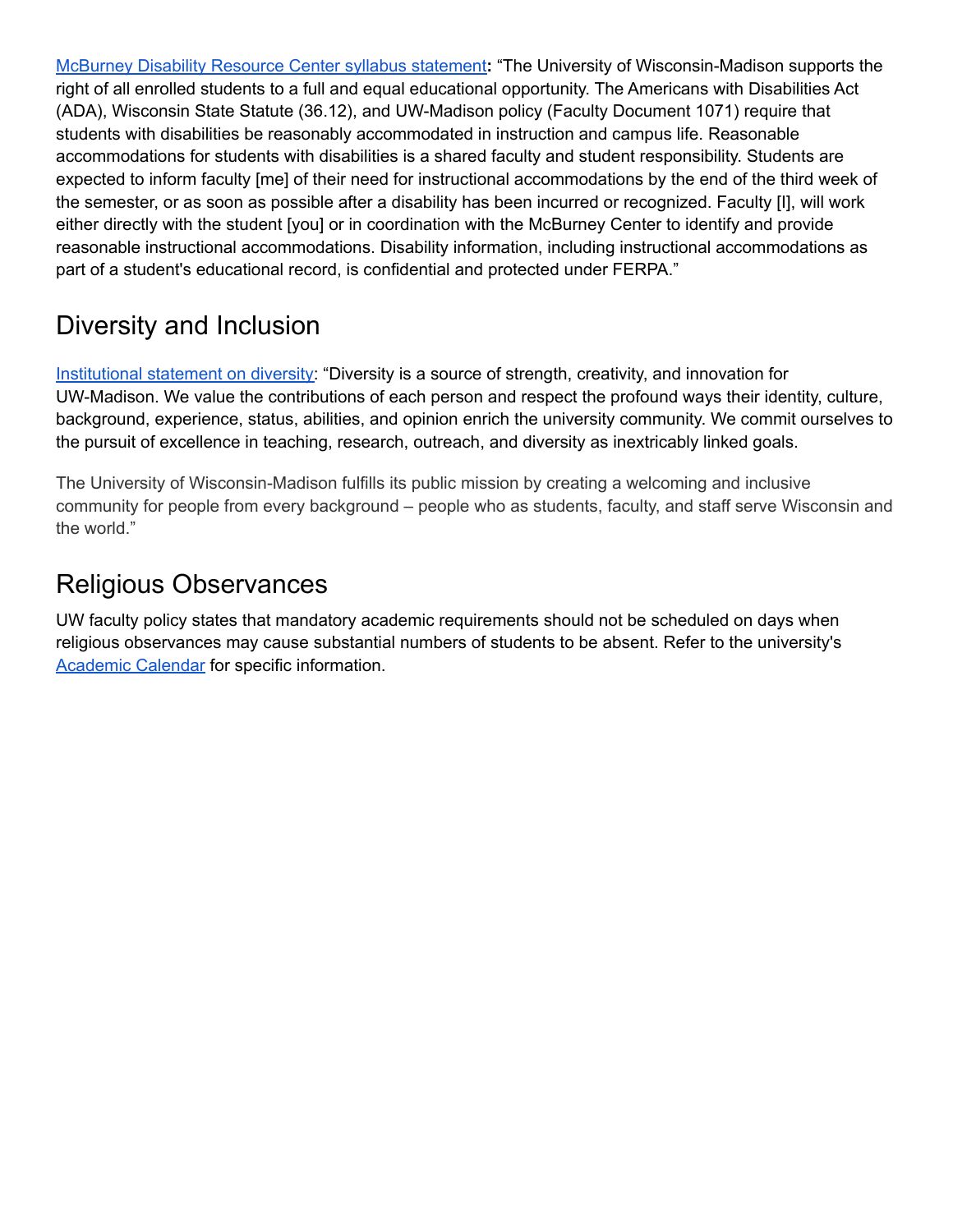[McBurney](http://mcburney.wisc.edu/facstaffother/faculty/syllabus.php) Disability Resource Center syllabus statement**:** "The University of Wisconsin-Madison supports the right of all enrolled students to a full and equal educational opportunity. The Americans with Disabilities Act (ADA), Wisconsin State Statute (36.12), and UW-Madison policy (Faculty Document 1071) require that students with disabilities be reasonably accommodated in instruction and campus life. Reasonable accommodations for students with disabilities is a shared faculty and student responsibility. Students are expected to inform faculty [me] of their need for instructional accommodations by the end of the third week of the semester, or as soon as possible after a disability has been incurred or recognized. Faculty [I], will work either directly with the student [you] or in coordination with the McBurney Center to identify and provide reasonable instructional accommodations. Disability information, including instructional accommodations as part of a student's educational record, is confidential and protected under FERPA."

## Diversity and Inclusion

[Institutional](https://diversity.wisc.edu/) statement on diversity: "Diversity is a source of strength, creativity, and innovation for UW-Madison. We value the contributions of each person and respect the profound ways their identity, culture, background, experience, status, abilities, and opinion enrich the university community. We commit ourselves to the pursuit of excellence in teaching, research, outreach, and diversity as inextricably linked goals.

The University of Wisconsin-Madison fulfills its public mission by creating a welcoming and inclusive community for people from every background – people who as students, faculty, and staff serve Wisconsin and the world."

## Religious Observances

UW faculty policy states that mandatory academic requirements should not be scheduled on days when religious observances may cause substantial numbers of students to be absent. Refer to the university's **[Academic](https://secfac.wisc.edu/academic-calendar/) Calendar for specific information.**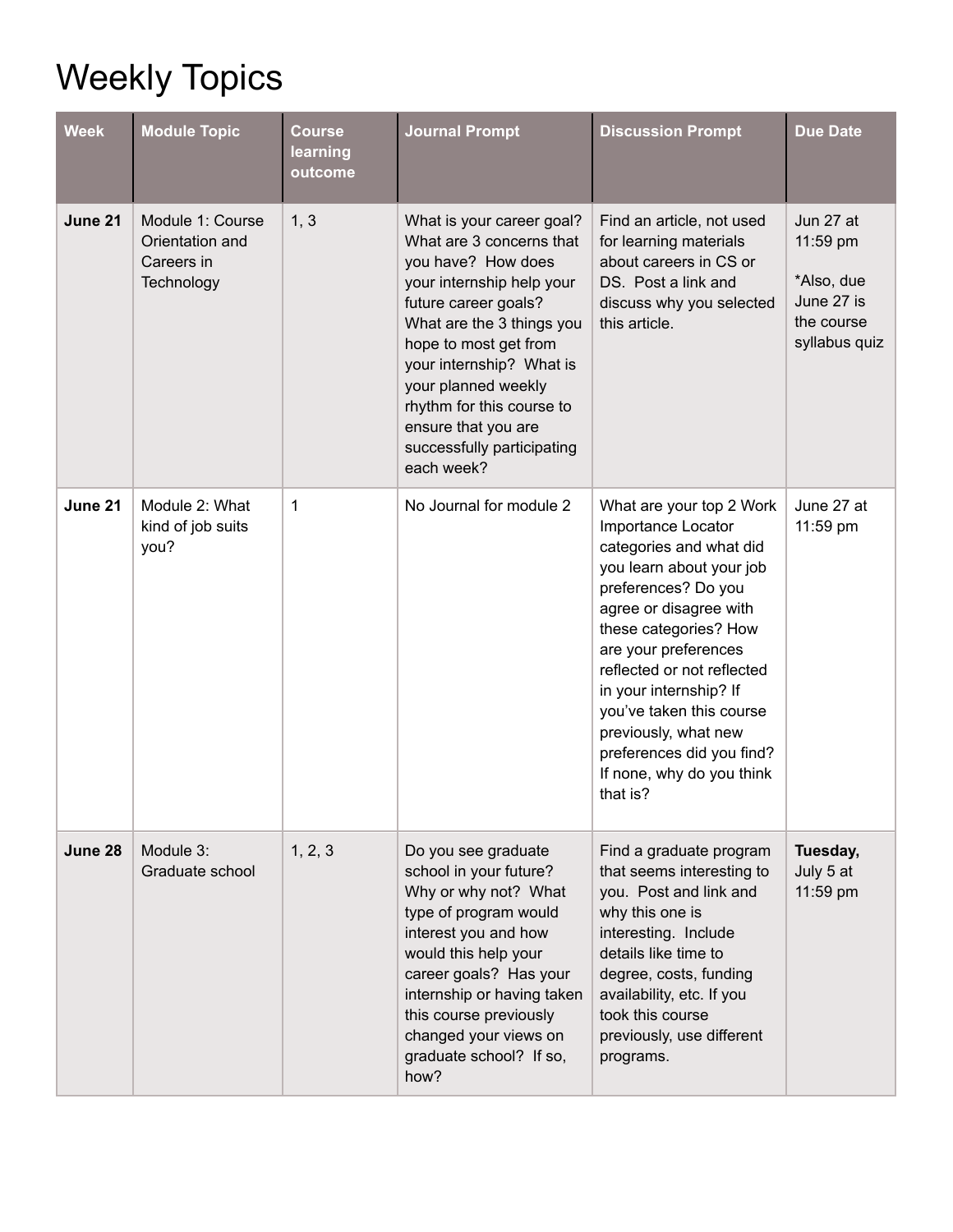## Weekly Topics

| <b>Week</b> | <b>Module Topic</b>                                             | <b>Course</b><br>learning<br>outcome | <b>Journal Prompt</b>                                                                                                                                                                                                                                                                                                                     | <b>Discussion Prompt</b>                                                                                                                                                                                                                                                                                                                                                                  | <b>Due Date</b>                                                                  |
|-------------|-----------------------------------------------------------------|--------------------------------------|-------------------------------------------------------------------------------------------------------------------------------------------------------------------------------------------------------------------------------------------------------------------------------------------------------------------------------------------|-------------------------------------------------------------------------------------------------------------------------------------------------------------------------------------------------------------------------------------------------------------------------------------------------------------------------------------------------------------------------------------------|----------------------------------------------------------------------------------|
| June 21     | Module 1: Course<br>Orientation and<br>Careers in<br>Technology | 1, 3                                 | What is your career goal?<br>What are 3 concerns that<br>you have? How does<br>your internship help your<br>future career goals?<br>What are the 3 things you<br>hope to most get from<br>your internship? What is<br>your planned weekly<br>rhythm for this course to<br>ensure that you are<br>successfully participating<br>each week? | Find an article, not used<br>for learning materials<br>about careers in CS or<br>DS. Post a link and<br>discuss why you selected<br>this article.                                                                                                                                                                                                                                         | Jun 27 at<br>11:59 pm<br>*Also, due<br>June 27 is<br>the course<br>syllabus quiz |
| June 21     | Module 2: What<br>kind of job suits<br>you?                     | 1                                    | No Journal for module 2                                                                                                                                                                                                                                                                                                                   | What are your top 2 Work<br>Importance Locator<br>categories and what did<br>you learn about your job<br>preferences? Do you<br>agree or disagree with<br>these categories? How<br>are your preferences<br>reflected or not reflected<br>in your internship? If<br>you've taken this course<br>previously, what new<br>preferences did you find?<br>If none, why do you think<br>that is? | June 27 at<br>11:59 pm                                                           |
| June 28     | Module 3:<br>Graduate school                                    | 1, 2, 3                              | Do you see graduate<br>school in your future?<br>Why or why not? What<br>type of program would<br>interest you and how<br>would this help your<br>career goals? Has your<br>internship or having taken<br>this course previously<br>changed your views on<br>graduate school? If so,<br>how?                                              | Find a graduate program<br>that seems interesting to<br>you. Post and link and<br>why this one is<br>interesting. Include<br>details like time to<br>degree, costs, funding<br>availability, etc. If you<br>took this course<br>previously, use different<br>programs.                                                                                                                    | Tuesday,<br>July 5 at<br>11:59 pm                                                |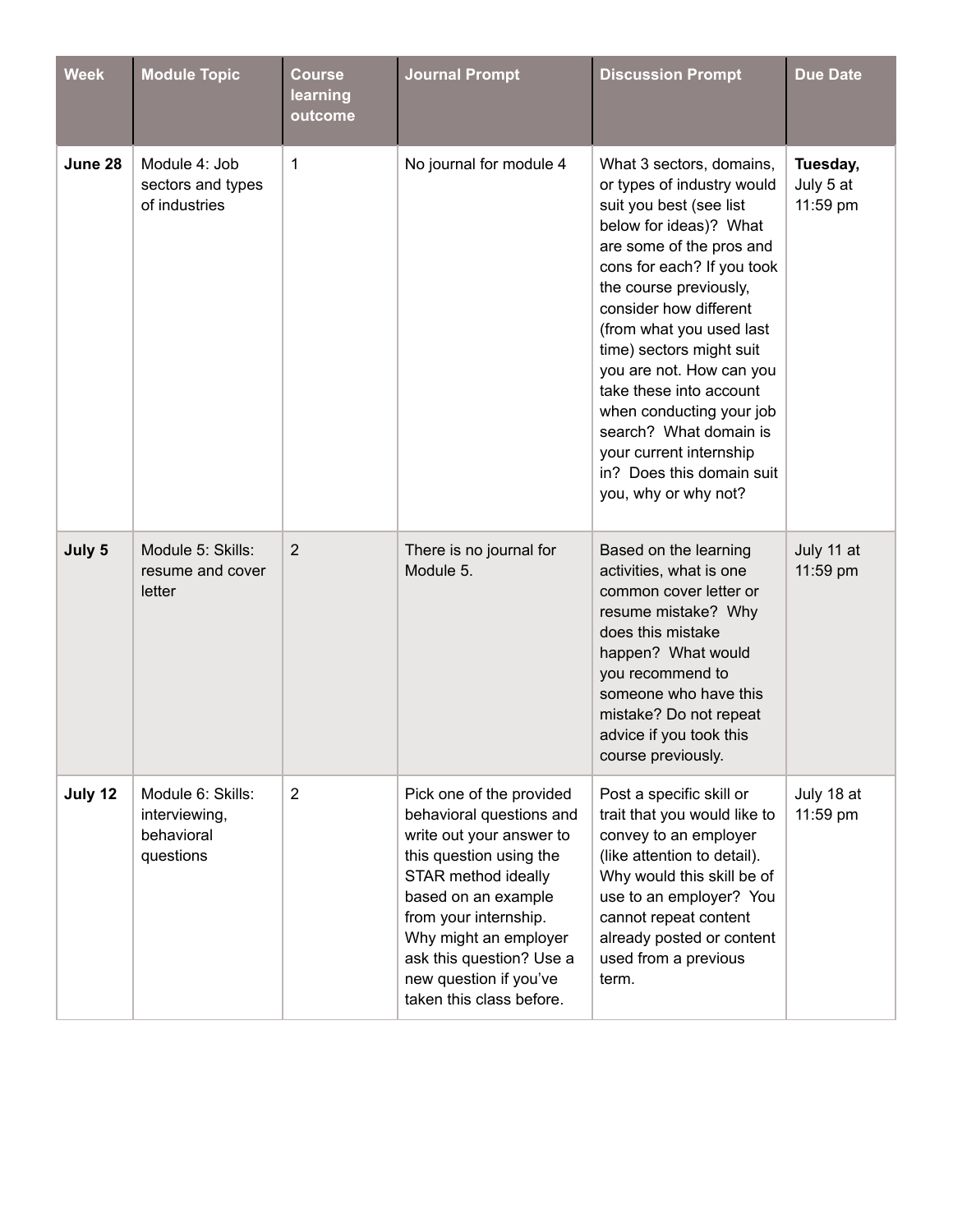| <b>Week</b> | <b>Module Topic</b>                                           | <b>Course</b><br>learning<br>outcome | <b>Journal Prompt</b>                                                                                                                                                                                                                                                                         | <b>Discussion Prompt</b>                                                                                                                                                                                                                                                                                                                                                                                                                                                       | <b>Due Date</b>                   |
|-------------|---------------------------------------------------------------|--------------------------------------|-----------------------------------------------------------------------------------------------------------------------------------------------------------------------------------------------------------------------------------------------------------------------------------------------|--------------------------------------------------------------------------------------------------------------------------------------------------------------------------------------------------------------------------------------------------------------------------------------------------------------------------------------------------------------------------------------------------------------------------------------------------------------------------------|-----------------------------------|
| June 28     | Module 4: Job<br>sectors and types<br>of industries           | 1                                    | No journal for module 4                                                                                                                                                                                                                                                                       | What 3 sectors, domains,<br>or types of industry would<br>suit you best (see list<br>below for ideas)? What<br>are some of the pros and<br>cons for each? If you took<br>the course previously,<br>consider how different<br>(from what you used last<br>time) sectors might suit<br>you are not. How can you<br>take these into account<br>when conducting your job<br>search? What domain is<br>your current internship<br>in? Does this domain suit<br>you, why or why not? | Tuesday,<br>July 5 at<br>11:59 pm |
| July 5      | Module 5: Skills:<br>resume and cover<br>letter               | 2                                    | There is no journal for<br>Module 5.                                                                                                                                                                                                                                                          | Based on the learning<br>activities, what is one<br>common cover letter or<br>resume mistake? Why<br>does this mistake<br>happen? What would<br>you recommend to<br>someone who have this<br>mistake? Do not repeat<br>advice if you took this<br>course previously.                                                                                                                                                                                                           | July 11 at<br>11:59 pm            |
| July 12     | Module 6: Skills:<br>interviewing,<br>behavioral<br>questions | $\overline{2}$                       | Pick one of the provided<br>behavioral questions and<br>write out your answer to<br>this question using the<br>STAR method ideally<br>based on an example<br>from your internship.<br>Why might an employer<br>ask this question? Use a<br>new question if you've<br>taken this class before. | Post a specific skill or<br>trait that you would like to<br>convey to an employer<br>(like attention to detail).<br>Why would this skill be of<br>use to an employer? You<br>cannot repeat content<br>already posted or content<br>used from a previous<br>term.                                                                                                                                                                                                               | July 18 at<br>11:59 pm            |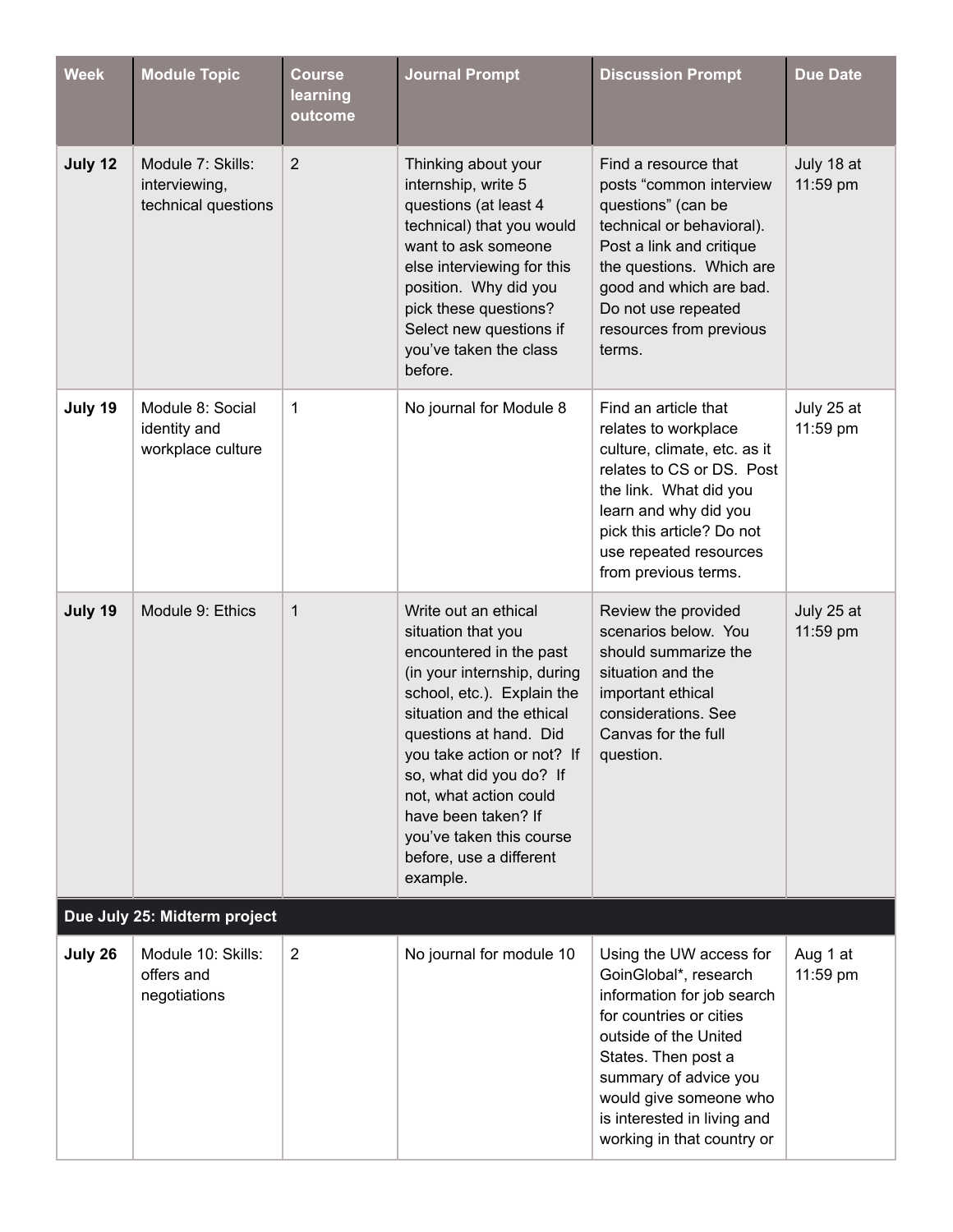| <b>Week</b> | <b>Module Topic</b>                                       | <b>Course</b><br>learning<br>outcome | <b>Journal Prompt</b>                                                                                                                                                                                                                                                                                                                                                  | <b>Discussion Prompt</b>                                                                                                                                                                                                                                                  | <b>Due Date</b>        |
|-------------|-----------------------------------------------------------|--------------------------------------|------------------------------------------------------------------------------------------------------------------------------------------------------------------------------------------------------------------------------------------------------------------------------------------------------------------------------------------------------------------------|---------------------------------------------------------------------------------------------------------------------------------------------------------------------------------------------------------------------------------------------------------------------------|------------------------|
| July 12     | Module 7: Skills:<br>interviewing,<br>technical questions | $\overline{2}$                       | Thinking about your<br>internship, write 5<br>questions (at least 4<br>technical) that you would<br>want to ask someone<br>else interviewing for this<br>position. Why did you<br>pick these questions?<br>Select new questions if<br>you've taken the class<br>before.                                                                                                | Find a resource that<br>posts "common interview<br>questions" (can be<br>technical or behavioral).<br>Post a link and critique<br>the questions. Which are<br>good and which are bad.<br>Do not use repeated<br>resources from previous<br>terms.                         | July 18 at<br>11:59 pm |
| July 19     | Module 8: Social<br>identity and<br>workplace culture     | 1                                    | No journal for Module 8                                                                                                                                                                                                                                                                                                                                                | Find an article that<br>relates to workplace<br>culture, climate, etc. as it<br>relates to CS or DS. Post<br>the link. What did you<br>learn and why did you<br>pick this article? Do not<br>use repeated resources<br>from previous terms.                               | July 25 at<br>11:59 pm |
| July 19     | Module 9: Ethics                                          | 1                                    | Write out an ethical<br>situation that you<br>encountered in the past<br>(in your internship, during<br>school, etc.). Explain the<br>situation and the ethical<br>questions at hand. Did<br>you take action or not? If<br>so, what did you do? If<br>not, what action could<br>have been taken? If<br>you've taken this course<br>before, use a different<br>example. | Review the provided<br>scenarios below. You<br>should summarize the<br>situation and the<br>important ethical<br>considerations. See<br>Canvas for the full<br>question.                                                                                                  | July 25 at<br>11:59 pm |
|             | Due July 25: Midterm project                              |                                      |                                                                                                                                                                                                                                                                                                                                                                        |                                                                                                                                                                                                                                                                           |                        |
| July 26     | Module 10: Skills:<br>offers and<br>negotiations          | $\overline{2}$                       | No journal for module 10                                                                                                                                                                                                                                                                                                                                               | Using the UW access for<br>GoinGlobal*, research<br>information for job search<br>for countries or cities<br>outside of the United<br>States. Then post a<br>summary of advice you<br>would give someone who<br>is interested in living and<br>working in that country or | Aug 1 at<br>11:59 pm   |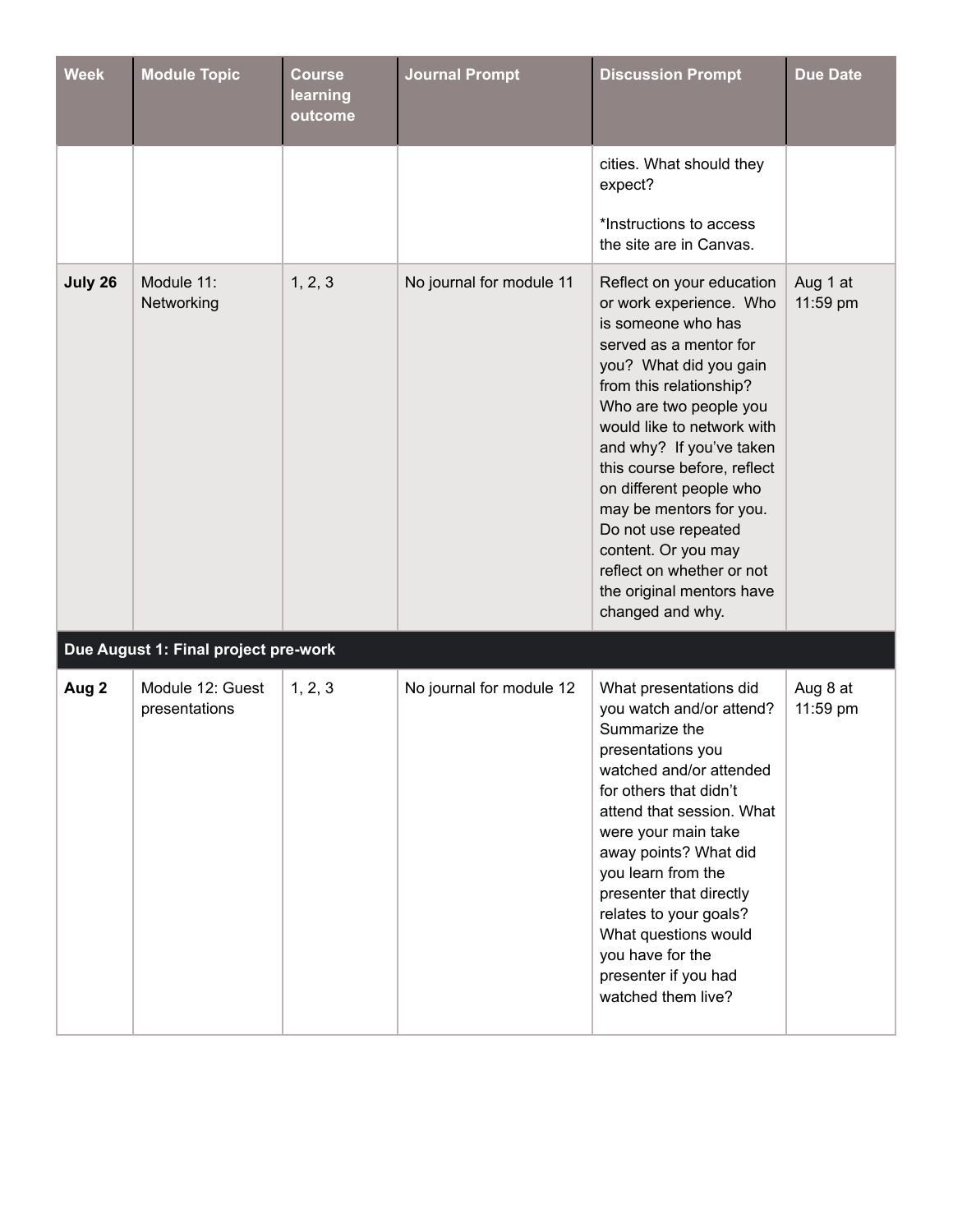| <b>Week</b> | <b>Module Topic</b>                  | <b>Course</b><br>learning<br>outcome | <b>Journal Prompt</b>    | <b>Discussion Prompt</b>                                                                                                                                                                                                                                                                                                                                                                                                                                                                  | <b>Due Date</b>      |
|-------------|--------------------------------------|--------------------------------------|--------------------------|-------------------------------------------------------------------------------------------------------------------------------------------------------------------------------------------------------------------------------------------------------------------------------------------------------------------------------------------------------------------------------------------------------------------------------------------------------------------------------------------|----------------------|
|             |                                      |                                      |                          | cities. What should they<br>expect?<br>*Instructions to access                                                                                                                                                                                                                                                                                                                                                                                                                            |                      |
| July 26     | Module 11:<br>Networking             | 1, 2, 3                              | No journal for module 11 | the site are in Canvas.<br>Reflect on your education<br>or work experience. Who<br>is someone who has<br>served as a mentor for<br>you? What did you gain<br>from this relationship?<br>Who are two people you<br>would like to network with<br>and why? If you've taken<br>this course before, reflect<br>on different people who<br>may be mentors for you.<br>Do not use repeated<br>content. Or you may<br>reflect on whether or not<br>the original mentors have<br>changed and why. | Aug 1 at<br>11:59 pm |
|             | Due August 1: Final project pre-work |                                      |                          |                                                                                                                                                                                                                                                                                                                                                                                                                                                                                           |                      |
| Aug 2       | Module 12: Guest<br>presentations    | 1, 2, 3                              | No journal for module 12 | What presentations did<br>you watch and/or attend?<br>Summarize the<br>presentations you<br>watched and/or attended<br>for others that didn't<br>attend that session. What<br>were your main take<br>away points? What did<br>you learn from the<br>presenter that directly<br>relates to your goals?<br>What questions would<br>you have for the<br>presenter if you had<br>watched them live?                                                                                           | Aug 8 at<br>11:59 pm |